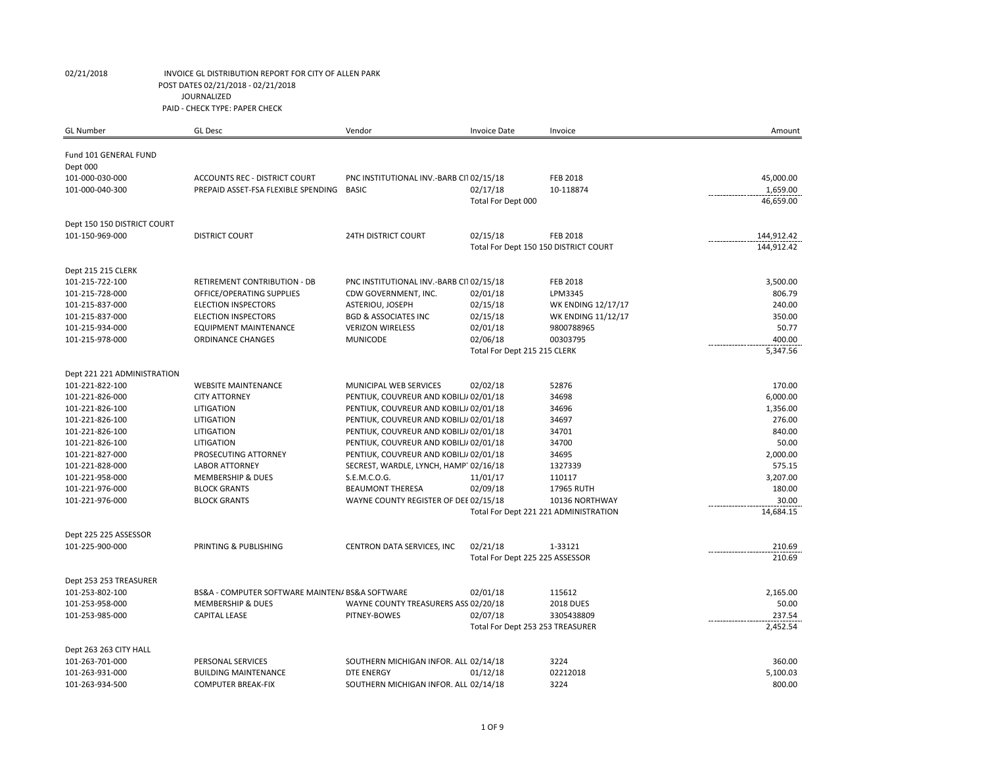| <b>GL Number</b>                      | <b>GL Desc</b>                                  | Vendor                                  | <b>Invoice Date</b>             | Invoice                               | Amount     |
|---------------------------------------|-------------------------------------------------|-----------------------------------------|---------------------------------|---------------------------------------|------------|
|                                       |                                                 |                                         |                                 |                                       |            |
| Fund 101 GENERAL FUND                 |                                                 |                                         |                                 |                                       |            |
| Dept 000<br>101-000-030-000           | <b>ACCOUNTS REC - DISTRICT COURT</b>            | PNC INSTITUTIONAL INV.-BARB CI102/15/18 |                                 | <b>FEB 2018</b>                       | 45,000.00  |
| 101-000-040-300                       | PREPAID ASSET-FSA FLEXIBLE SPENDING             | <b>BASIC</b>                            | 02/17/18                        | 10-118874                             | 1,659.00   |
|                                       |                                                 |                                         | Total For Dept 000              |                                       | 46,659.00  |
|                                       |                                                 |                                         |                                 |                                       |            |
| Dept 150 150 DISTRICT COURT           |                                                 |                                         |                                 |                                       |            |
| 101-150-969-000                       | <b>DISTRICT COURT</b>                           | <b>24TH DISTRICT COURT</b>              | 02/15/18                        | <b>FEB 2018</b>                       | 144,912.42 |
|                                       |                                                 |                                         |                                 | Total For Dept 150 150 DISTRICT COURT | 144,912.42 |
|                                       |                                                 |                                         |                                 |                                       |            |
| Dept 215 215 CLERK<br>101-215-722-100 | RETIREMENT CONTRIBUTION - DB                    | PNC INSTITUTIONAL INV.-BARB CI102/15/18 |                                 | <b>FEB 2018</b>                       | 3,500.00   |
| 101-215-728-000                       | OFFICE/OPERATING SUPPLIES                       | CDW GOVERNMENT, INC.                    | 02/01/18                        | LPM3345                               | 806.79     |
| 101-215-837-000                       | <b>ELECTION INSPECTORS</b>                      | ASTERIOU, JOSEPH                        | 02/15/18                        | <b>WK ENDING 12/17/17</b>             | 240.00     |
| 101-215-837-000                       | <b>ELECTION INSPECTORS</b>                      | <b>BGD &amp; ASSOCIATES INC</b>         | 02/15/18                        | <b>WK ENDING 11/12/17</b>             | 350.00     |
| 101-215-934-000                       | <b>EQUIPMENT MAINTENANCE</b>                    | <b>VERIZON WIRELESS</b>                 | 02/01/18                        | 9800788965                            | 50.77      |
| 101-215-978-000                       | <b>ORDINANCE CHANGES</b>                        | <b>MUNICODE</b>                         | 02/06/18                        | 00303795                              | 400.00     |
|                                       |                                                 |                                         | Total For Dept 215 215 CLERK    |                                       | 5,347.56   |
|                                       |                                                 |                                         |                                 |                                       |            |
| Dept 221 221 ADMINISTRATION           |                                                 |                                         |                                 |                                       |            |
| 101-221-822-100                       | <b>WEBSITE MAINTENANCE</b>                      | MUNICIPAL WEB SERVICES                  | 02/02/18                        | 52876                                 | 170.00     |
| 101-221-826-000                       | <b>CITY ATTORNEY</b>                            | PENTIUK, COUVREUR AND KOBILJ/ 02/01/18  |                                 | 34698                                 | 6,000.00   |
| 101-221-826-100                       | LITIGATION                                      | PENTIUK, COUVREUR AND KOBILJ/ 02/01/18  |                                 | 34696                                 | 1,356.00   |
| 101-221-826-100                       | LITIGATION                                      | PENTIUK, COUVREUR AND KOBILJ/ 02/01/18  |                                 | 34697                                 | 276.00     |
| 101-221-826-100                       | LITIGATION                                      | PENTIUK, COUVREUR AND KOBILJ/ 02/01/18  |                                 | 34701                                 | 840.00     |
| 101-221-826-100                       | LITIGATION                                      | PENTIUK, COUVREUR AND KOBILJ/ 02/01/18  |                                 | 34700                                 | 50.00      |
| 101-221-827-000                       | PROSECUTING ATTORNEY                            | PENTIUK, COUVREUR AND KOBILJ/ 02/01/18  |                                 | 34695                                 | 2,000.00   |
| 101-221-828-000                       | <b>LABOR ATTORNEY</b>                           | SECREST, WARDLE, LYNCH, HAMP102/16/18   |                                 | 1327339                               | 575.15     |
| 101-221-958-000                       | MEMBERSHIP & DUES                               | S.E.M.C.O.G.                            | 11/01/17                        | 110117                                | 3,207.00   |
| 101-221-976-000                       | <b>BLOCK GRANTS</b>                             | <b>BEAUMONT THERESA</b>                 | 02/09/18                        | 17965 RUTH                            | 180.00     |
| 101-221-976-000                       | <b>BLOCK GRANTS</b>                             | WAYNE COUNTY REGISTER OF DEE 02/15/18   |                                 | 10136 NORTHWAY                        | 30.00      |
|                                       |                                                 |                                         |                                 | Total For Dept 221 221 ADMINISTRATION | 14,684.15  |
| Dept 225 225 ASSESSOR                 |                                                 |                                         |                                 |                                       |            |
| 101-225-900-000                       | PRINTING & PUBLISHING                           | CENTRON DATA SERVICES, INC              | 02/21/18                        | 1-33121                               | 210.69     |
|                                       |                                                 |                                         | Total For Dept 225 225 ASSESSOR |                                       | 210.69     |
| Dept 253 253 TREASURER                |                                                 |                                         |                                 |                                       |            |
| 101-253-802-100                       | BS&A - COMPUTER SOFTWARE MAINTEN/ BS&A SOFTWARE |                                         | 02/01/18                        | 115612                                | 2,165.00   |
| 101-253-958-000                       | <b>MEMBERSHIP &amp; DUES</b>                    | WAYNE COUNTY TREASURERS ASS 02/20/18    |                                 | <b>2018 DUES</b>                      | 50.00      |
| 101-253-985-000                       | <b>CAPITAL LEASE</b>                            | PITNEY-BOWES                            | 02/07/18                        | 3305438809                            | 237.54     |
|                                       |                                                 |                                         |                                 | Total For Dept 253 253 TREASURER      | 2,452.54   |
| Dept 263 263 CITY HALL                |                                                 |                                         |                                 |                                       |            |
| 101-263-701-000                       | PERSONAL SERVICES                               | SOUTHERN MICHIGAN INFOR. ALL 02/14/18   |                                 | 3224                                  | 360.00     |
| 101-263-931-000                       | <b>BUILDING MAINTENANCE</b>                     | <b>DTE ENERGY</b>                       | 01/12/18                        | 02212018                              | 5,100.03   |
| 101-263-934-500                       | <b>COMPUTER BREAK-FIX</b>                       | SOUTHERN MICHIGAN INFOR. ALL 02/14/18   |                                 | 3224                                  | 800.00     |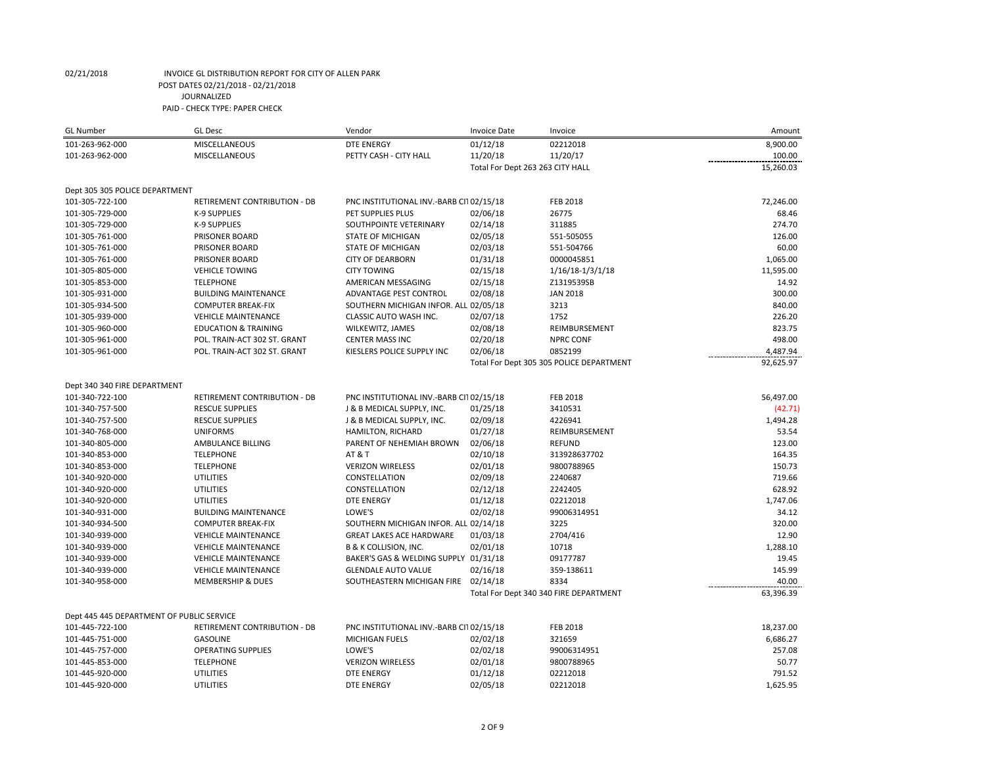| <b>GL Number</b>                          | <b>GL Desc</b>                  | Vendor                                  | <b>Invoice Date</b>              | Invoice                                  | Amount    |
|-------------------------------------------|---------------------------------|-----------------------------------------|----------------------------------|------------------------------------------|-----------|
| 101-263-962-000                           | MISCELLANEOUS                   | <b>DTE ENERGY</b>                       | 01/12/18                         | 02212018                                 | 8,900.00  |
| 101-263-962-000                           | <b>MISCELLANEOUS</b>            | PETTY CASH - CITY HALL                  | 11/20/18                         | 11/20/17                                 | 100.00    |
|                                           |                                 |                                         | Total For Dept 263 263 CITY HALL |                                          | 15,260.03 |
|                                           |                                 |                                         |                                  |                                          |           |
| Dept 305 305 POLICE DEPARTMENT            |                                 |                                         |                                  |                                          |           |
| 101-305-722-100                           | RETIREMENT CONTRIBUTION - DB    | PNC INSTITUTIONAL INV.-BARB CI102/15/18 |                                  | <b>FEB 2018</b>                          | 72,246.00 |
| 101-305-729-000                           | <b>K-9 SUPPLIES</b>             | PET SUPPLIES PLUS                       | 02/06/18                         | 26775                                    | 68.46     |
| 101-305-729-000                           | <b>K-9 SUPPLIES</b>             | SOUTHPOINTE VETERINARY                  | 02/14/18                         | 311885                                   | 274.70    |
| 101-305-761-000                           | PRISONER BOARD                  | <b>STATE OF MICHIGAN</b>                | 02/05/18                         | 551-505055                               | 126.00    |
| 101-305-761-000                           | PRISONER BOARD                  | STATE OF MICHIGAN                       | 02/03/18                         | 551-504766                               | 60.00     |
| 101-305-761-000                           | PRISONER BOARD                  | <b>CITY OF DEARBORN</b>                 | 01/31/18                         | 0000045851                               | 1,065.00  |
| 101-305-805-000                           | <b>VEHICLE TOWING</b>           | <b>CITY TOWING</b>                      | 02/15/18                         | $1/16/18-1/3/1/18$                       | 11,595.00 |
| 101-305-853-000                           | <b>TELEPHONE</b>                | AMERICAN MESSAGING                      | 02/15/18                         | Z1319539SB                               | 14.92     |
| 101-305-931-000                           | <b>BUILDING MAINTENANCE</b>     | ADVANTAGE PEST CONTROL                  | 02/08/18                         | <b>JAN 2018</b>                          | 300.00    |
| 101-305-934-500                           | <b>COMPUTER BREAK-FIX</b>       | SOUTHERN MICHIGAN INFOR. ALLI 02/05/18  |                                  | 3213                                     | 840.00    |
| 101-305-939-000                           | <b>VEHICLE MAINTENANCE</b>      | CLASSIC AUTO WASH INC.                  | 02/07/18                         | 1752                                     | 226.20    |
| 101-305-960-000                           | <b>EDUCATION &amp; TRAINING</b> | WILKEWITZ, JAMES                        | 02/08/18                         | REIMBURSEMENT                            | 823.75    |
| 101-305-961-000                           | POL. TRAIN-ACT 302 ST. GRANT    | <b>CENTER MASS INC</b>                  | 02/20/18                         | <b>NPRC CONF</b>                         | 498.00    |
| 101-305-961-000                           | POL. TRAIN-ACT 302 ST. GRANT    | KIESLERS POLICE SUPPLY INC              | 02/06/18                         | 0852199                                  | 4,487.94  |
|                                           |                                 |                                         |                                  | Total For Dept 305 305 POLICE DEPARTMENT | 92,625.97 |
|                                           |                                 |                                         |                                  |                                          |           |
| Dept 340 340 FIRE DEPARTMENT              |                                 |                                         |                                  |                                          |           |
| 101-340-722-100                           | RETIREMENT CONTRIBUTION - DB    | PNC INSTITUTIONAL INV.-BARB CI102/15/18 |                                  | <b>FEB 2018</b>                          | 56,497.00 |
| 101-340-757-500                           | <b>RESCUE SUPPLIES</b>          | J & B MEDICAL SUPPLY, INC.              | 01/25/18                         | 3410531                                  | (42.71)   |
| 101-340-757-500                           | <b>RESCUE SUPPLIES</b>          | J & B MEDICAL SUPPLY, INC.              | 02/09/18                         | 4226941                                  | 1,494.28  |
| 101-340-768-000                           | <b>UNIFORMS</b>                 | <b>HAMILTON, RICHARD</b>                | 01/27/18                         | REIMBURSEMENT                            | 53.54     |
| 101-340-805-000                           | AMBULANCE BILLING               | PARENT OF NEHEMIAH BROWN                | 02/06/18                         | <b>REFUND</b>                            | 123.00    |
| 101-340-853-000                           | <b>TELEPHONE</b>                | <b>AT &amp; T</b>                       | 02/10/18                         | 313928637702                             | 164.35    |
| 101-340-853-000                           | <b>TELEPHONE</b>                | <b>VERIZON WIRELESS</b>                 | 02/01/18                         | 9800788965                               | 150.73    |
| 101-340-920-000                           | <b>UTILITIES</b>                | CONSTELLATION                           | 02/09/18                         | 2240687                                  | 719.66    |
| 101-340-920-000                           | <b>UTILITIES</b>                | CONSTELLATION                           | 02/12/18                         | 2242405                                  | 628.92    |
| 101-340-920-000                           | <b>UTILITIES</b>                | <b>DTE ENERGY</b>                       | 01/12/18                         | 02212018                                 | 1,747.06  |
| 101-340-931-000                           | <b>BUILDING MAINTENANCE</b>     | LOWE'S                                  | 02/02/18                         | 99006314951                              | 34.12     |
| 101-340-934-500                           | <b>COMPUTER BREAK-FIX</b>       | SOUTHERN MICHIGAN INFOR. ALL 02/14/18   |                                  | 3225                                     | 320.00    |
| 101-340-939-000                           | <b>VEHICLE MAINTENANCE</b>      | <b>GREAT LAKES ACE HARDWARE</b>         | 01/03/18                         | 2704/416                                 | 12.90     |
| 101-340-939-000                           | <b>VEHICLE MAINTENANCE</b>      | <b>B &amp; K COLLISION, INC.</b>        | 02/01/18                         | 10718                                    | 1,288.10  |
| 101-340-939-000                           | <b>VEHICLE MAINTENANCE</b>      | BAKER'S GAS & WELDING SUPPLY 01/31/18   |                                  | 09177787                                 | 19.45     |
| 101-340-939-000                           | <b>VEHICLE MAINTENANCE</b>      | <b>GLENDALE AUTO VALUE</b>              | 02/16/18                         | 359-138611                               | 145.99    |
| 101-340-958-000                           | <b>MEMBERSHIP &amp; DUES</b>    | SOUTHEASTERN MICHIGAN FIRE 02/14/18     |                                  | 8334                                     | 40.00     |
|                                           |                                 |                                         |                                  | Total For Dept 340 340 FIRE DEPARTMENT   | 63,396.39 |
|                                           |                                 |                                         |                                  |                                          |           |
| Dept 445 445 DEPARTMENT OF PUBLIC SERVICE |                                 |                                         |                                  |                                          |           |
| 101-445-722-100                           | RETIREMENT CONTRIBUTION - DB    | PNC INSTITUTIONAL INV.-BARB CI102/15/18 |                                  | <b>FEB 2018</b>                          | 18,237.00 |
| 101-445-751-000                           | <b>GASOLINE</b>                 | MICHIGAN FUELS                          | 02/02/18                         | 321659                                   | 6,686.27  |
| 101-445-757-000                           | <b>OPERATING SUPPLIES</b>       | LOWE'S                                  | 02/02/18                         | 99006314951                              | 257.08    |
| 101-445-853-000                           | <b>TELEPHONE</b>                | <b>VERIZON WIRELESS</b>                 | 02/01/18                         | 9800788965                               | 50.77     |
| 101-445-920-000                           | <b>UTILITIES</b>                | <b>DTE ENERGY</b>                       | 01/12/18                         | 02212018                                 | 791.52    |
| 101-445-920-000                           | <b>UTILITIES</b>                | <b>DTE ENERGY</b>                       | 02/05/18                         | 02212018                                 | 1,625.95  |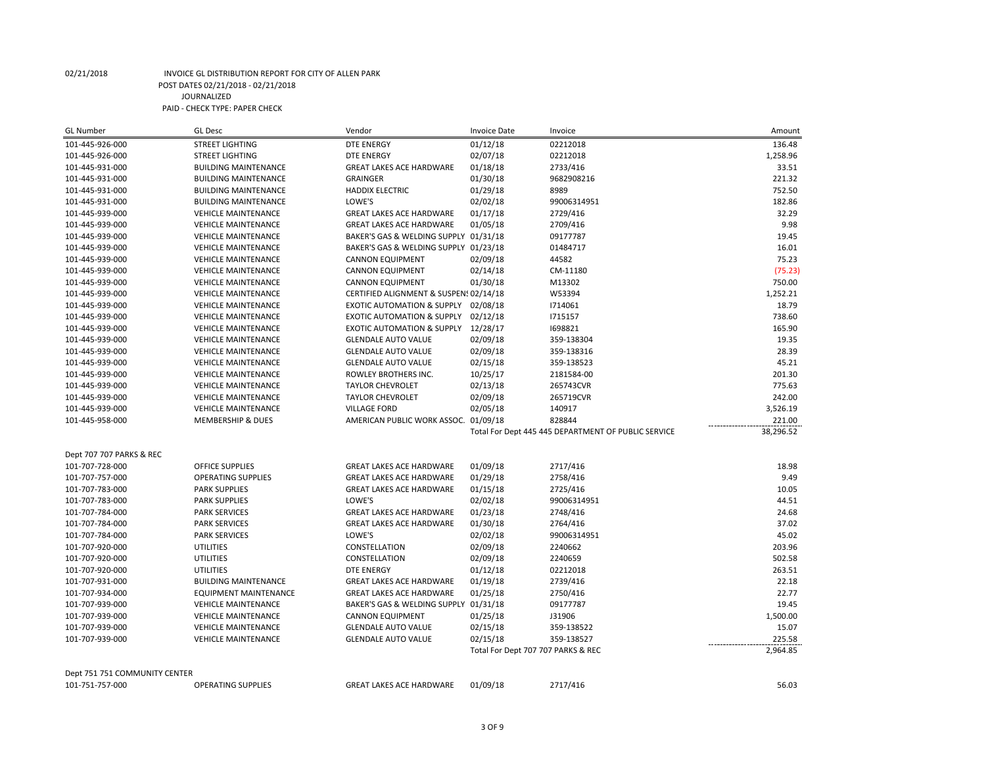| <b>GL Number</b>              | <b>GL Desc</b>               | Vendor                                 | <b>Invoice Date</b>                | Invoice                                             | Amount    |
|-------------------------------|------------------------------|----------------------------------------|------------------------------------|-----------------------------------------------------|-----------|
| 101-445-926-000               | <b>STREET LIGHTING</b>       | DTE ENERGY                             | 01/12/18                           | 02212018                                            | 136.48    |
| 101-445-926-000               | <b>STREET LIGHTING</b>       | <b>DTE ENERGY</b>                      | 02/07/18                           | 02212018                                            | 1,258.96  |
| 101-445-931-000               | <b>BUILDING MAINTENANCE</b>  | <b>GREAT LAKES ACE HARDWARE</b>        | 01/18/18                           | 2733/416                                            | 33.51     |
| 101-445-931-000               | <b>BUILDING MAINTENANCE</b>  | <b>GRAINGER</b>                        | 01/30/18                           | 9682908216                                          | 221.32    |
| 101-445-931-000               | <b>BUILDING MAINTENANCE</b>  | <b>HADDIX ELECTRIC</b>                 | 01/29/18                           | 8989                                                | 752.50    |
| 101-445-931-000               | <b>BUILDING MAINTENANCE</b>  | LOWE'S                                 | 02/02/18                           | 99006314951                                         | 182.86    |
| 101-445-939-000               | <b>VEHICLE MAINTENANCE</b>   | <b>GREAT LAKES ACE HARDWARE</b>        | 01/17/18                           | 2729/416                                            | 32.29     |
| 101-445-939-000               | <b>VEHICLE MAINTENANCE</b>   | <b>GREAT LAKES ACE HARDWARE</b>        | 01/05/18                           | 2709/416                                            | 9.98      |
| 101-445-939-000               | <b>VEHICLE MAINTENANCE</b>   | BAKER'S GAS & WELDING SUPPLY 01/31/18  |                                    | 09177787                                            | 19.45     |
| 101-445-939-000               | <b>VEHICLE MAINTENANCE</b>   | BAKER'S GAS & WELDING SUPPLY 01/23/18  |                                    | 01484717                                            | 16.01     |
| 101-445-939-000               | <b>VEHICLE MAINTENANCE</b>   | <b>CANNON EQUIPMENT</b>                | 02/09/18                           | 44582                                               | 75.23     |
| 101-445-939-000               | <b>VEHICLE MAINTENANCE</b>   | <b>CANNON EQUIPMENT</b>                | 02/14/18                           | CM-11180                                            | (75.23)   |
| 101-445-939-000               | <b>VEHICLE MAINTENANCE</b>   | <b>CANNON EQUIPMENT</b>                | 01/30/18                           | M13302                                              | 750.00    |
| 101-445-939-000               | <b>VEHICLE MAINTENANCE</b>   | CERTIFIED ALIGNMENT & SUSPENS 02/14/18 |                                    | W53394                                              | 1,252.21  |
| 101-445-939-000               | <b>VEHICLE MAINTENANCE</b>   | EXOTIC AUTOMATION & SUPPLY 02/08/18    |                                    | 1714061                                             | 18.79     |
| 101-445-939-000               | <b>VEHICLE MAINTENANCE</b>   | EXOTIC AUTOMATION & SUPPLY 02/12/18    |                                    | 1715157                                             | 738.60    |
| 101-445-939-000               | <b>VEHICLE MAINTENANCE</b>   | EXOTIC AUTOMATION & SUPPLY 12/28/17    |                                    | 1698821                                             | 165.90    |
| 101-445-939-000               | <b>VEHICLE MAINTENANCE</b>   | <b>GLENDALE AUTO VALUE</b>             | 02/09/18                           | 359-138304                                          | 19.35     |
| 101-445-939-000               | <b>VEHICLE MAINTENANCE</b>   | <b>GLENDALE AUTO VALUE</b>             | 02/09/18                           | 359-138316                                          | 28.39     |
| 101-445-939-000               | <b>VEHICLE MAINTENANCE</b>   | <b>GLENDALE AUTO VALUE</b>             | 02/15/18                           | 359-138523                                          | 45.21     |
| 101-445-939-000               | <b>VEHICLE MAINTENANCE</b>   | ROWLEY BROTHERS INC.                   | 10/25/17                           | 2181584-00                                          | 201.30    |
| 101-445-939-000               | <b>VEHICLE MAINTENANCE</b>   | <b>TAYLOR CHEVROLET</b>                | 02/13/18                           | 265743CVR                                           | 775.63    |
| 101-445-939-000               | <b>VEHICLE MAINTENANCE</b>   | <b>TAYLOR CHEVROLET</b>                | 02/09/18                           | 265719CVR                                           | 242.00    |
| 101-445-939-000               | <b>VEHICLE MAINTENANCE</b>   | <b>VILLAGE FORD</b>                    | 02/05/18                           | 140917                                              | 3,526.19  |
| 101-445-958-000               | <b>MEMBERSHIP &amp; DUES</b> | AMERICAN PUBLIC WORK ASSOC. 01/09/18   |                                    | 828844                                              | 221.00    |
|                               |                              |                                        |                                    | Total For Dept 445 445 DEPARTMENT OF PUBLIC SERVICE | 38,296.52 |
|                               |                              |                                        |                                    |                                                     |           |
| Dept 707 707 PARKS & REC      |                              |                                        |                                    |                                                     |           |
| 101-707-728-000               | OFFICE SUPPLIES              | <b>GREAT LAKES ACE HARDWARE</b>        | 01/09/18                           | 2717/416                                            | 18.98     |
| 101-707-757-000               | <b>OPERATING SUPPLIES</b>    | <b>GREAT LAKES ACE HARDWARE</b>        | 01/29/18                           | 2758/416                                            | 9.49      |
| 101-707-783-000               | <b>PARK SUPPLIES</b>         | <b>GREAT LAKES ACE HARDWARE</b>        | 01/15/18                           | 2725/416                                            | 10.05     |
| 101-707-783-000               | <b>PARK SUPPLIES</b>         | LOWE'S                                 | 02/02/18                           | 99006314951                                         | 44.51     |
| 101-707-784-000               | <b>PARK SERVICES</b>         | <b>GREAT LAKES ACE HARDWARE</b>        | 01/23/18                           | 2748/416                                            | 24.68     |
| 101-707-784-000               | <b>PARK SERVICES</b>         | <b>GREAT LAKES ACE HARDWARE</b>        | 01/30/18                           | 2764/416                                            | 37.02     |
| 101-707-784-000               | <b>PARK SERVICES</b>         | LOWE'S                                 | 02/02/18                           | 99006314951                                         | 45.02     |
| 101-707-920-000               | <b>UTILITIES</b>             | CONSTELLATION                          | 02/09/18                           | 2240662                                             | 203.96    |
| 101-707-920-000               | <b>UTILITIES</b>             | CONSTELLATION                          | 02/09/18                           | 2240659                                             | 502.58    |
| 101-707-920-000               | <b>UTILITIES</b>             | <b>DTE ENERGY</b>                      | 01/12/18                           | 02212018                                            | 263.51    |
| 101-707-931-000               | <b>BUILDING MAINTENANCE</b>  | <b>GREAT LAKES ACE HARDWARE</b>        | 01/19/18                           | 2739/416                                            | 22.18     |
| 101-707-934-000               | <b>EQUIPMENT MAINTENANCE</b> | <b>GREAT LAKES ACE HARDWARE</b>        | 01/25/18                           | 2750/416                                            | 22.77     |
| 101-707-939-000               | <b>VEHICLE MAINTENANCE</b>   | BAKER'S GAS & WELDING SUPPLY 01/31/18  |                                    | 09177787                                            | 19.45     |
| 101-707-939-000               | <b>VEHICLE MAINTENANCE</b>   | <b>CANNON EQUIPMENT</b>                | 01/25/18                           | J31906                                              | 1,500.00  |
| 101-707-939-000               | <b>VEHICLE MAINTENANCE</b>   | <b>GLENDALE AUTO VALUE</b>             | 02/15/18                           | 359-138522                                          | 15.07     |
| 101-707-939-000               | <b>VEHICLE MAINTENANCE</b>   | <b>GLENDALE AUTO VALUE</b>             | 02/15/18                           | 359-138527                                          | 225.58    |
|                               |                              |                                        | Total For Dept 707 707 PARKS & REC |                                                     | 2,964.85  |
| Dept 751 751 COMMUNITY CENTER |                              |                                        |                                    |                                                     |           |
| 101-751-757-000               | <b>OPERATING SUPPLIES</b>    | <b>GREAT LAKES ACE HARDWARE</b>        | 01/09/18                           | 2717/416                                            | 56.03     |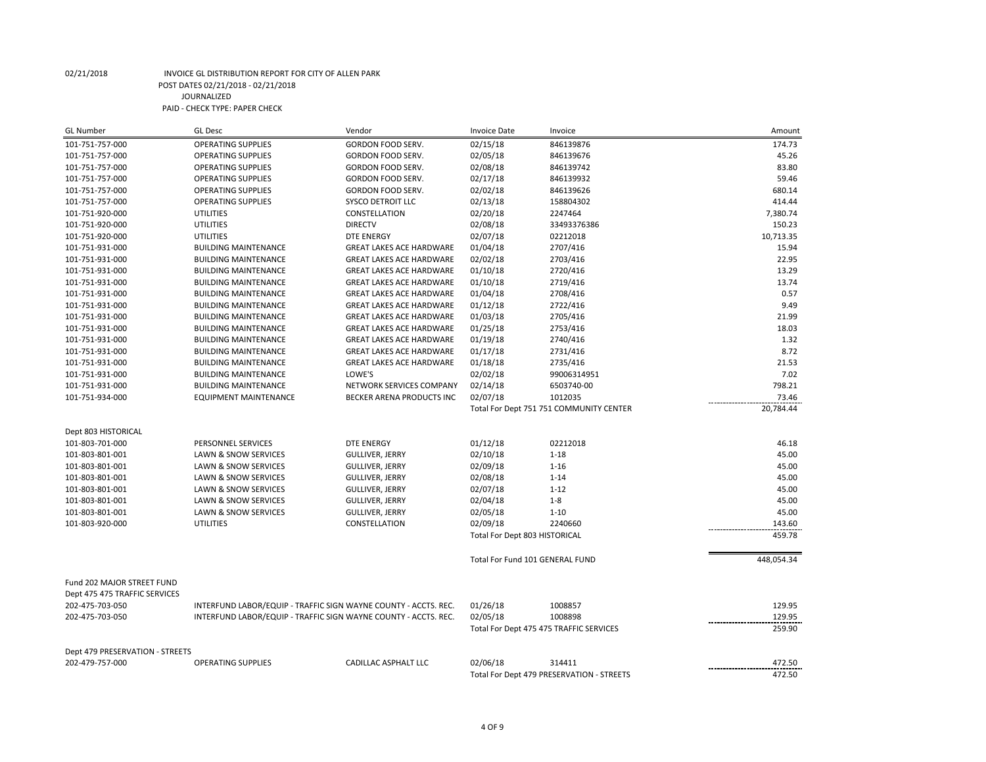| <b>GL Number</b>                | <b>GL Desc</b>                                                  | Vendor                          | <b>Invoice Date</b>           | Invoice                                   | Amount                       |
|---------------------------------|-----------------------------------------------------------------|---------------------------------|-------------------------------|-------------------------------------------|------------------------------|
| 101-751-757-000                 | <b>OPERATING SUPPLIES</b>                                       | GORDON FOOD SERV.               | 02/15/18                      | 846139876                                 | 174.73                       |
| 101-751-757-000                 | <b>OPERATING SUPPLIES</b>                                       | <b>GORDON FOOD SERV.</b>        | 02/05/18                      | 846139676                                 | 45.26                        |
| 101-751-757-000                 | <b>OPERATING SUPPLIES</b>                                       | GORDON FOOD SERV.               | 02/08/18                      | 846139742                                 | 83.80                        |
| 101-751-757-000                 | <b>OPERATING SUPPLIES</b>                                       | <b>GORDON FOOD SERV.</b>        | 02/17/18                      | 846139932                                 | 59.46                        |
| 101-751-757-000                 | <b>OPERATING SUPPLIES</b>                                       | GORDON FOOD SERV.               | 02/02/18                      | 846139626                                 | 680.14                       |
| 101-751-757-000                 | <b>OPERATING SUPPLIES</b>                                       | <b>SYSCO DETROIT LLC</b>        | 02/13/18                      | 158804302                                 | 414.44                       |
| 101-751-920-000                 | <b>UTILITIES</b>                                                | CONSTELLATION                   | 02/20/18                      | 2247464                                   | 7,380.74                     |
| 101-751-920-000                 | <b>UTILITIES</b>                                                | <b>DIRECTV</b>                  | 02/08/18                      | 33493376386                               | 150.23                       |
| 101-751-920-000                 | UTILITIES                                                       | <b>DTE ENERGY</b>               | 02/07/18                      | 02212018                                  | 10,713.35                    |
| 101-751-931-000                 | <b>BUILDING MAINTENANCE</b>                                     | <b>GREAT LAKES ACE HARDWARE</b> | 01/04/18                      | 2707/416                                  | 15.94                        |
| 101-751-931-000                 | <b>BUILDING MAINTENANCE</b>                                     | <b>GREAT LAKES ACE HARDWARE</b> | 02/02/18                      | 2703/416                                  | 22.95                        |
| 101-751-931-000                 | <b>BUILDING MAINTENANCE</b>                                     | <b>GREAT LAKES ACE HARDWARE</b> | 01/10/18                      | 2720/416                                  | 13.29                        |
| 101-751-931-000                 | <b>BUILDING MAINTENANCE</b>                                     | <b>GREAT LAKES ACE HARDWARE</b> | 01/10/18                      | 2719/416                                  | 13.74                        |
| 101-751-931-000                 | <b>BUILDING MAINTENANCE</b>                                     | <b>GREAT LAKES ACE HARDWARE</b> | 01/04/18                      | 2708/416                                  | 0.57                         |
| 101-751-931-000                 | <b>BUILDING MAINTENANCE</b>                                     | <b>GREAT LAKES ACE HARDWARE</b> | 01/12/18                      | 2722/416                                  | 9.49                         |
| 101-751-931-000                 | <b>BUILDING MAINTENANCE</b>                                     | <b>GREAT LAKES ACE HARDWARE</b> | 01/03/18                      | 2705/416                                  | 21.99                        |
| 101-751-931-000                 | <b>BUILDING MAINTENANCE</b>                                     | <b>GREAT LAKES ACE HARDWARE</b> | 01/25/18                      | 2753/416                                  | 18.03                        |
| 101-751-931-000                 | <b>BUILDING MAINTENANCE</b>                                     | <b>GREAT LAKES ACE HARDWARE</b> | 01/19/18                      | 2740/416                                  | 1.32                         |
| 101-751-931-000                 | <b>BUILDING MAINTENANCE</b>                                     | <b>GREAT LAKES ACE HARDWARE</b> | 01/17/18                      | 2731/416                                  | 8.72                         |
| 101-751-931-000                 | <b>BUILDING MAINTENANCE</b>                                     | <b>GREAT LAKES ACE HARDWARE</b> | 01/18/18                      | 2735/416                                  | 21.53                        |
| 101-751-931-000                 | <b>BUILDING MAINTENANCE</b>                                     | LOWE'S                          | 02/02/18                      | 99006314951                               | 7.02                         |
| 101-751-931-000                 | <b>BUILDING MAINTENANCE</b>                                     | NETWORK SERVICES COMPANY        | 02/14/18                      | 6503740-00                                | 798.21                       |
| 101-751-934-000                 | <b>EQUIPMENT MAINTENANCE</b>                                    | BECKER ARENA PRODUCTS INC       | 02/07/18                      | 1012035                                   | 73.46                        |
|                                 |                                                                 |                                 |                               | Total For Dept 751 751 COMMUNITY CENTER   | 20,784.44                    |
| Dept 803 HISTORICAL             |                                                                 |                                 |                               |                                           |                              |
| 101-803-701-000                 | PERSONNEL SERVICES                                              | <b>DTE ENERGY</b>               | 01/12/18                      | 02212018                                  | 46.18                        |
| 101-803-801-001                 | LAWN & SNOW SERVICES                                            | <b>GULLIVER, JERRY</b>          | 02/10/18                      | $1 - 18$                                  | 45.00                        |
| 101-803-801-001                 | LAWN & SNOW SERVICES                                            | <b>GULLIVER, JERRY</b>          | 02/09/18                      | $1 - 16$                                  | 45.00                        |
| 101-803-801-001                 | <b>LAWN &amp; SNOW SERVICES</b>                                 | <b>GULLIVER, JERRY</b>          | 02/08/18                      | $1 - 14$                                  | 45.00                        |
| 101-803-801-001                 | LAWN & SNOW SERVICES                                            | <b>GULLIVER, JERRY</b>          | 02/07/18                      | $1 - 12$                                  | 45.00                        |
| 101-803-801-001                 | LAWN & SNOW SERVICES                                            | <b>GULLIVER, JERRY</b>          | 02/04/18                      | $1 - 8$                                   | 45.00                        |
| 101-803-801-001                 | <b>LAWN &amp; SNOW SERVICES</b>                                 | <b>GULLIVER, JERRY</b>          | 02/05/18                      | $1 - 10$                                  | 45.00                        |
| 101-803-920-000                 | <b>UTILITIES</b>                                                | CONSTELLATION                   | 02/09/18                      | 2240660                                   | 143.60                       |
|                                 |                                                                 |                                 | Total For Dept 803 HISTORICAL |                                           | 459.78                       |
|                                 |                                                                 |                                 |                               |                                           |                              |
|                                 |                                                                 |                                 |                               | Total For Fund 101 GENERAL FUND           | 448,054.34                   |
| Fund 202 MAJOR STREET FUND      |                                                                 |                                 |                               |                                           |                              |
| Dept 475 475 TRAFFIC SERVICES   |                                                                 |                                 |                               |                                           |                              |
| 202-475-703-050                 | INTERFUND LABOR/EQUIP - TRAFFIC SIGN WAYNE COUNTY - ACCTS. REC. |                                 | 01/26/18                      | 1008857                                   | 129.95                       |
| 202-475-703-050                 | INTERFUND LABOR/EQUIP - TRAFFIC SIGN WAYNE COUNTY - ACCTS. REC. |                                 | 02/05/18                      | 1008898                                   | 129.95                       |
|                                 |                                                                 |                                 |                               | Total For Dept 475 475 TRAFFIC SERVICES   | 259.90                       |
| Dept 479 PRESERVATION - STREETS |                                                                 |                                 |                               |                                           |                              |
| 202-479-757-000                 | <b>OPERATING SUPPLIES</b>                                       | CADILLAC ASPHALT LLC            | 02/06/18                      | 314411                                    | 472.50<br>------------------ |
|                                 |                                                                 |                                 |                               | Total For Dept 479 PRESERVATION - STREETS | 472.50                       |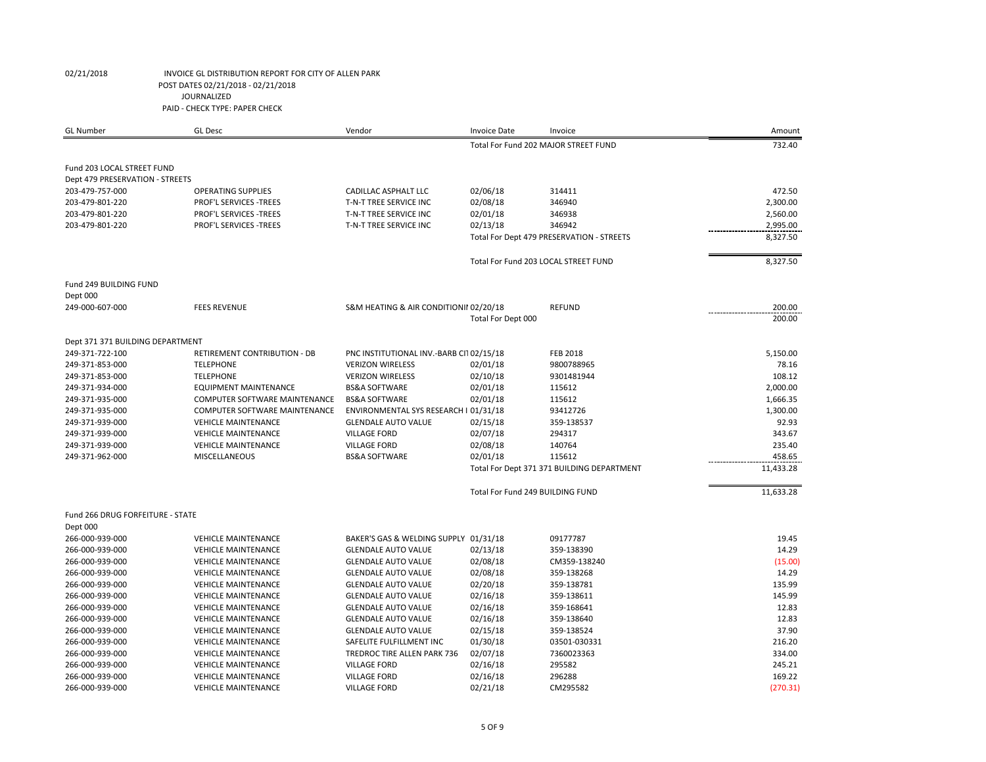| <b>GL</b> Number                 | <b>GL Desc</b>                | Vendor                                  | <b>Invoice Date</b>                        | Invoice                                   | Amount    |
|----------------------------------|-------------------------------|-----------------------------------------|--------------------------------------------|-------------------------------------------|-----------|
|                                  |                               |                                         |                                            | Total For Fund 202 MAJOR STREET FUND      | 732.40    |
| Fund 203 LOCAL STREET FUND       |                               |                                         |                                            |                                           |           |
| Dept 479 PRESERVATION - STREETS  |                               |                                         |                                            |                                           |           |
| 203-479-757-000                  | <b>OPERATING SUPPLIES</b>     | <b>CADILLAC ASPHALT LLC</b>             | 02/06/18                                   | 314411                                    | 472.50    |
| 203-479-801-220                  | PROF'L SERVICES -TREES        | T-N-T TREE SERVICE INC                  | 02/08/18                                   | 346940                                    | 2,300.00  |
| 203-479-801-220                  | <b>PROF'L SERVICES -TREES</b> | T-N-T TREE SERVICE INC                  | 02/01/18                                   | 346938                                    | 2,560.00  |
| 203-479-801-220                  | PROF'L SERVICES -TREES        | T-N-T TREE SERVICE INC                  | 02/13/18                                   | 346942                                    | 2,995.00  |
|                                  |                               |                                         |                                            | Total For Dept 479 PRESERVATION - STREETS | 8,327.50  |
|                                  |                               |                                         |                                            |                                           |           |
|                                  |                               |                                         |                                            | Total For Fund 203 LOCAL STREET FUND      | 8,327.50  |
| Fund 249 BUILDING FUND           |                               |                                         |                                            |                                           |           |
| Dept 000                         |                               |                                         |                                            |                                           |           |
| 249-000-607-000                  | <b>FEES REVENUE</b>           | S&M HEATING & AIR CONDITIONII 02/20/18  |                                            | <b>REFUND</b>                             | 200.00    |
|                                  |                               |                                         | Total For Dept 000                         |                                           | 200.00    |
| Dept 371 371 BUILDING DEPARTMENT |                               |                                         |                                            |                                           |           |
| 249-371-722-100                  | RETIREMENT CONTRIBUTION - DB  | PNC INSTITUTIONAL INV.-BARB CI102/15/18 |                                            | <b>FEB 2018</b>                           | 5,150.00  |
| 249-371-853-000                  | <b>TELEPHONE</b>              | <b>VERIZON WIRELESS</b>                 | 02/01/18                                   | 9800788965                                | 78.16     |
| 249-371-853-000                  | <b>TELEPHONE</b>              | <b>VERIZON WIRELESS</b>                 | 02/10/18                                   | 9301481944                                | 108.12    |
| 249-371-934-000                  | <b>EQUIPMENT MAINTENANCE</b>  | <b>BS&amp;A SOFTWARE</b>                | 02/01/18                                   | 115612                                    | 2,000.00  |
| 249-371-935-000                  | COMPUTER SOFTWARE MAINTENANCE | <b>BS&amp;A SOFTWARE</b>                | 02/01/18                                   | 115612                                    | 1,666.35  |
| 249-371-935-000                  | COMPUTER SOFTWARE MAINTENANCE | ENVIRONMENTAL SYS RESEARCH I 01/31/18   |                                            | 93412726                                  | 1,300.00  |
| 249-371-939-000                  | <b>VEHICLE MAINTENANCE</b>    | <b>GLENDALE AUTO VALUE</b>              | 02/15/18                                   | 359-138537                                | 92.93     |
| 249-371-939-000                  | <b>VEHICLE MAINTENANCE</b>    | <b>VILLAGE FORD</b>                     | 02/07/18                                   | 294317                                    | 343.67    |
| 249-371-939-000                  | <b>VEHICLE MAINTENANCE</b>    | <b>VILLAGE FORD</b>                     | 02/08/18                                   | 140764                                    | 235.40    |
| 249-371-962-000                  | MISCELLANEOUS                 | <b>BS&amp;A SOFTWARE</b>                | 02/01/18                                   | 115612                                    | 458.65    |
|                                  |                               |                                         | Total For Dept 371 371 BUILDING DEPARTMENT |                                           | 11,433.28 |
|                                  |                               |                                         | Total For Fund 249 BUILDING FUND           |                                           | 11,633.28 |
| Fund 266 DRUG FORFEITURE - STATE |                               |                                         |                                            |                                           |           |
| Dept 000                         |                               |                                         |                                            |                                           |           |
| 266-000-939-000                  | <b>VEHICLE MAINTENANCE</b>    | BAKER'S GAS & WELDING SUPPLY 01/31/18   |                                            | 09177787                                  | 19.45     |
| 266-000-939-000                  | <b>VEHICLE MAINTENANCE</b>    | <b>GLENDALE AUTO VALUE</b>              | 02/13/18                                   | 359-138390                                | 14.29     |
| 266-000-939-000                  | <b>VEHICLE MAINTENANCE</b>    | <b>GLENDALE AUTO VALUE</b>              | 02/08/18                                   | CM359-138240                              | (15.00)   |
| 266-000-939-000                  | <b>VEHICLE MAINTENANCE</b>    | <b>GLENDALE AUTO VALUE</b>              | 02/08/18                                   | 359-138268                                | 14.29     |
| 266-000-939-000                  | <b>VEHICLE MAINTENANCE</b>    | <b>GLENDALE AUTO VALUE</b>              | 02/20/18                                   | 359-138781                                | 135.99    |
| 266-000-939-000                  | <b>VEHICLE MAINTENANCE</b>    | <b>GLENDALE AUTO VALUE</b>              | 02/16/18                                   | 359-138611                                | 145.99    |
| 266-000-939-000                  | <b>VEHICLE MAINTENANCE</b>    | <b>GLENDALE AUTO VALUE</b>              | 02/16/18                                   | 359-168641                                | 12.83     |
| 266-000-939-000                  | <b>VEHICLE MAINTENANCE</b>    | <b>GLENDALE AUTO VALUE</b>              | 02/16/18                                   | 359-138640                                | 12.83     |
| 266-000-939-000                  | <b>VEHICLE MAINTENANCE</b>    | <b>GLENDALE AUTO VALUE</b>              | 02/15/18                                   | 359-138524                                | 37.90     |
| 266-000-939-000                  | <b>VEHICLE MAINTENANCE</b>    | SAFELITE FULFILLMENT INC                | 01/30/18                                   | 03501-030331                              | 216.20    |
| 266-000-939-000                  | <b>VEHICLE MAINTENANCE</b>    | TREDROC TIRE ALLEN PARK 736             | 02/07/18                                   | 7360023363                                | 334.00    |
| 266-000-939-000                  | <b>VEHICLE MAINTENANCE</b>    | <b>VILLAGE FORD</b>                     | 02/16/18                                   | 295582                                    | 245.21    |
| 266-000-939-000                  | <b>VEHICLE MAINTENANCE</b>    | <b>VILLAGE FORD</b>                     | 02/16/18                                   | 296288                                    | 169.22    |
| 266-000-939-000                  | <b>VEHICLE MAINTENANCE</b>    | <b>VILLAGE FORD</b>                     | 02/21/18                                   | CM295582                                  | (270.31)  |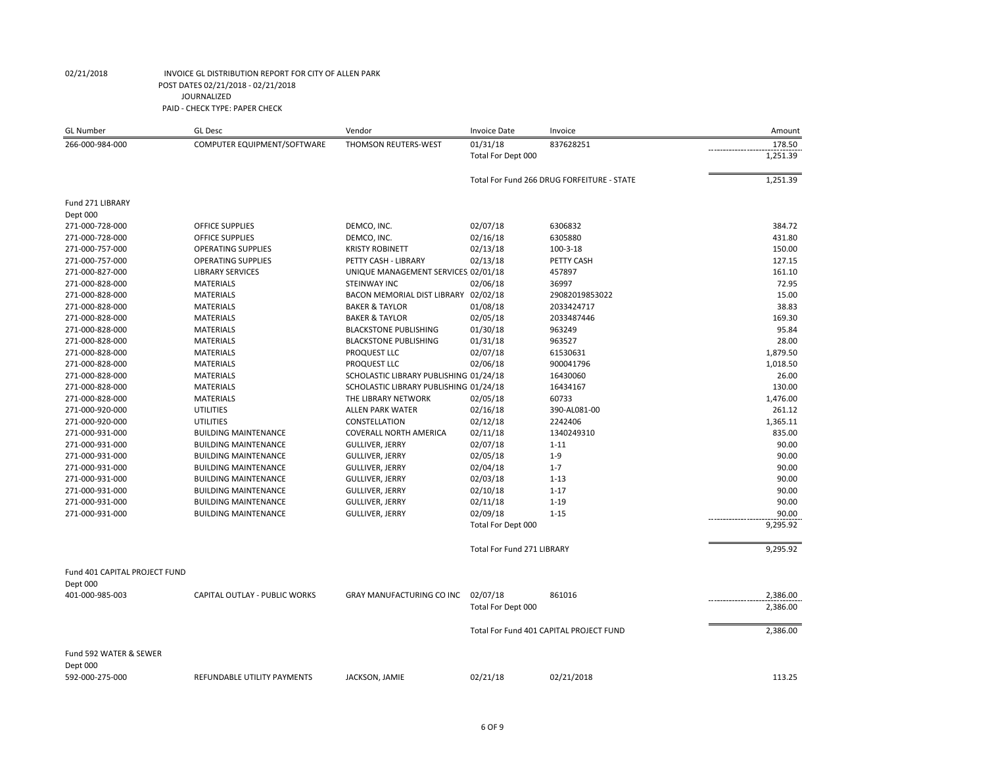| <b>GL Number</b>              | <b>GL Desc</b>                | Vendor                                 | <b>Invoice Date</b>               | Invoice                                    | Amount   |
|-------------------------------|-------------------------------|----------------------------------------|-----------------------------------|--------------------------------------------|----------|
| 266-000-984-000               | COMPUTER EQUIPMENT/SOFTWARE   | THOMSON REUTERS-WEST                   | 01/31/18                          | 837628251                                  | 178.50   |
|                               |                               |                                        | Total For Dept 000                |                                            | 1,251.39 |
|                               |                               |                                        |                                   | Total For Fund 266 DRUG FORFEITURE - STATE | 1,251.39 |
|                               |                               |                                        |                                   |                                            |          |
| Fund 271 LIBRARY              |                               |                                        |                                   |                                            |          |
| Dept 000                      |                               |                                        |                                   |                                            |          |
| 271-000-728-000               | <b>OFFICE SUPPLIES</b>        | DEMCO, INC.                            | 02/07/18                          | 6306832                                    | 384.72   |
| 271-000-728-000               | <b>OFFICE SUPPLIES</b>        | DEMCO, INC.                            | 02/16/18                          | 6305880                                    | 431.80   |
| 271-000-757-000               | <b>OPERATING SUPPLIES</b>     | <b>KRISTY ROBINETT</b>                 | 02/13/18                          | $100 - 3 - 18$                             | 150.00   |
| 271-000-757-000               | <b>OPERATING SUPPLIES</b>     | PETTY CASH - LIBRARY                   | 02/13/18                          | PETTY CASH                                 | 127.15   |
| 271-000-827-000               | <b>LIBRARY SERVICES</b>       | UNIQUE MANAGEMENT SERVICES 02/01/18    |                                   | 457897                                     | 161.10   |
| 271-000-828-000               | <b>MATERIALS</b>              | <b>STEINWAY INC</b>                    | 02/06/18                          | 36997                                      | 72.95    |
| 271-000-828-000               | <b>MATERIALS</b>              | BACON MEMORIAL DIST LIBRARY 02/02/18   |                                   | 29082019853022                             | 15.00    |
| 271-000-828-000               | <b>MATERIALS</b>              | <b>BAKER &amp; TAYLOR</b>              | 01/08/18                          | 2033424717                                 | 38.83    |
| 271-000-828-000               | <b>MATERIALS</b>              | <b>BAKER &amp; TAYLOR</b>              | 02/05/18                          | 2033487446                                 | 169.30   |
| 271-000-828-000               | <b>MATERIALS</b>              | <b>BLACKSTONE PUBLISHING</b>           | 01/30/18                          | 963249                                     | 95.84    |
| 271-000-828-000               | <b>MATERIALS</b>              | <b>BLACKSTONE PUBLISHING</b>           | 01/31/18                          | 963527                                     | 28.00    |
| 271-000-828-000               | <b>MATERIALS</b>              | PROQUEST LLC                           | 02/07/18                          | 61530631                                   | 1,879.50 |
| 271-000-828-000               | <b>MATERIALS</b>              | PROQUEST LLC                           | 02/06/18                          | 900041796                                  | 1,018.50 |
| 271-000-828-000               | <b>MATERIALS</b>              | SCHOLASTIC LIBRARY PUBLISHING 01/24/18 |                                   | 16430060                                   | 26.00    |
| 271-000-828-000               | <b>MATERIALS</b>              | SCHOLASTIC LIBRARY PUBLISHING 01/24/18 |                                   | 16434167                                   | 130.00   |
| 271-000-828-000               | <b>MATERIALS</b>              | THE LIBRARY NETWORK                    | 02/05/18                          | 60733                                      | 1,476.00 |
| 271-000-920-000               | <b>UTILITIES</b>              | <b>ALLEN PARK WATER</b>                | 02/16/18                          | 390-AL081-00                               | 261.12   |
| 271-000-920-000               | <b>UTILITIES</b>              | CONSTELLATION                          | 02/12/18                          | 2242406                                    | 1,365.11 |
| 271-000-931-000               | <b>BUILDING MAINTENANCE</b>   | <b>COVERALL NORTH AMERICA</b>          | 02/11/18                          | 1340249310                                 | 835.00   |
| 271-000-931-000               | <b>BUILDING MAINTENANCE</b>   | <b>GULLIVER, JERRY</b>                 | 02/07/18                          | $1 - 11$                                   | 90.00    |
| 271-000-931-000               | <b>BUILDING MAINTENANCE</b>   | <b>GULLIVER, JERRY</b>                 | 02/05/18                          | $1 - 9$                                    | 90.00    |
| 271-000-931-000               | <b>BUILDING MAINTENANCE</b>   | <b>GULLIVER, JERRY</b>                 | 02/04/18                          | $1 - 7$                                    | 90.00    |
| 271-000-931-000               | <b>BUILDING MAINTENANCE</b>   | <b>GULLIVER, JERRY</b>                 | 02/03/18                          | $1 - 13$                                   | 90.00    |
| 271-000-931-000               | <b>BUILDING MAINTENANCE</b>   | <b>GULLIVER, JERRY</b>                 | 02/10/18                          | $1 - 17$                                   | 90.00    |
| 271-000-931-000               | <b>BUILDING MAINTENANCE</b>   | <b>GULLIVER, JERRY</b>                 | 02/11/18                          | $1 - 19$                                   | 90.00    |
| 271-000-931-000               | <b>BUILDING MAINTENANCE</b>   | <b>GULLIVER, JERRY</b>                 | 02/09/18                          | $1 - 15$                                   | 90.00    |
|                               |                               |                                        | Total For Dept 000                |                                            | 9,295.92 |
|                               |                               |                                        | <b>Total For Fund 271 LIBRARY</b> |                                            | 9,295.92 |
|                               |                               |                                        |                                   |                                            |          |
| Fund 401 CAPITAL PROJECT FUND |                               |                                        |                                   |                                            |          |
| Dept 000                      |                               |                                        |                                   |                                            |          |
| 401-000-985-003               | CAPITAL OUTLAY - PUBLIC WORKS | GRAY MANUFACTURING CO INC              | 02/07/18                          | 861016                                     | 2,386.00 |
|                               |                               |                                        | Total For Dept 000                |                                            | 2,386.00 |
|                               |                               |                                        |                                   | Total For Fund 401 CAPITAL PROJECT FUND    | 2,386.00 |
| Fund 592 WATER & SEWER        |                               |                                        |                                   |                                            |          |
| Dept 000                      |                               |                                        |                                   |                                            |          |
| 592-000-275-000               | REFUNDABLE UTILITY PAYMENTS   | JACKSON, JAMIE                         | 02/21/18                          | 02/21/2018                                 | 113.25   |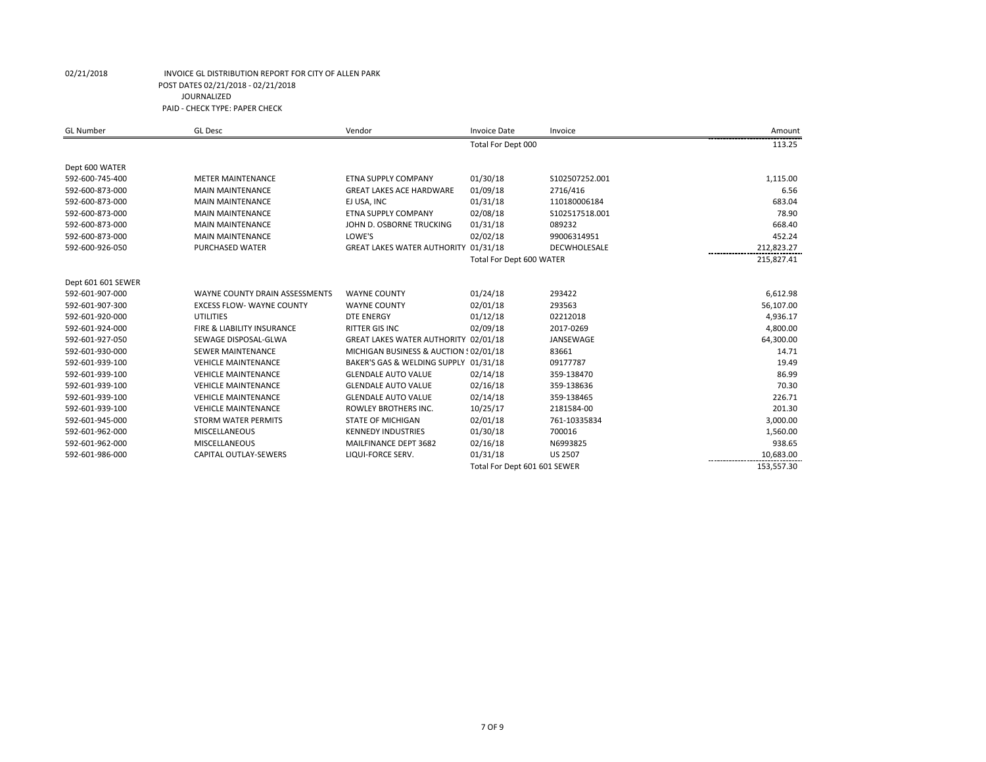| <b>GL Number</b>   | <b>GL Desc</b>                   | Vendor                                 | <b>Invoice Date</b>          | Invoice             | Amount     |
|--------------------|----------------------------------|----------------------------------------|------------------------------|---------------------|------------|
|                    |                                  |                                        | Total For Dept 000           |                     | 113.25     |
| Dept 600 WATER     |                                  |                                        |                              |                     |            |
| 592-600-745-400    | <b>METER MAINTENANCE</b>         | <b>ETNA SUPPLY COMPANY</b>             | 01/30/18                     | S102507252.001      | 1,115.00   |
| 592-600-873-000    | <b>MAIN MAINTENANCE</b>          | <b>GREAT LAKES ACE HARDWARE</b>        | 01/09/18                     | 2716/416            | 6.56       |
| 592-600-873-000    | <b>MAIN MAINTENANCE</b>          | EJ USA, INC                            | 01/31/18                     | 110180006184        | 683.04     |
| 592-600-873-000    | <b>MAIN MAINTENANCE</b>          | <b>ETNA SUPPLY COMPANY</b>             | 02/08/18                     | \$102517518.001     | 78.90      |
| 592-600-873-000    | <b>MAIN MAINTENANCE</b>          | JOHN D. OSBORNE TRUCKING               | 01/31/18                     | 089232              | 668.40     |
| 592-600-873-000    | <b>MAIN MAINTENANCE</b>          | LOWE'S                                 | 02/02/18                     | 99006314951         | 452.24     |
| 592-600-926-050    | PURCHASED WATER                  | GREAT LAKES WATER AUTHORITY 01/31/18   |                              | <b>DECWHOLESALE</b> | 212,823.27 |
|                    |                                  |                                        | Total For Dept 600 WATER     |                     | 215,827.41 |
| Dept 601 601 SEWER |                                  |                                        |                              |                     |            |
| 592-601-907-000    | WAYNE COUNTY DRAIN ASSESSMENTS   | <b>WAYNE COUNTY</b>                    | 01/24/18                     | 293422              | 6,612.98   |
| 592-601-907-300    | <b>EXCESS FLOW- WAYNE COUNTY</b> | <b>WAYNE COUNTY</b>                    | 02/01/18                     | 293563              | 56,107.00  |
| 592-601-920-000    | <b>UTILITIES</b>                 | <b>DTE ENERGY</b>                      | 01/12/18                     | 02212018            | 4,936.17   |
| 592-601-924-000    | FIRE & LIABILITY INSURANCE       | RITTER GIS INC                         | 02/09/18                     | 2017-0269           | 4,800.00   |
| 592-601-927-050    | SEWAGE DISPOSAL-GLWA             | GREAT LAKES WATER AUTHORITY 02/01/18   |                              | JANSEWAGE           | 64,300.00  |
| 592-601-930-000    | <b>SEWER MAINTENANCE</b>         | MICHIGAN BUSINESS & AUCTION : 02/01/18 |                              | 83661               | 14.71      |
| 592-601-939-100    | <b>VEHICLE MAINTENANCE</b>       | BAKER'S GAS & WELDING SUPPLY 01/31/18  |                              | 09177787            | 19.49      |
| 592-601-939-100    | <b>VEHICLE MAINTENANCE</b>       | <b>GLENDALE AUTO VALUE</b>             | 02/14/18                     | 359-138470          | 86.99      |
| 592-601-939-100    | <b>VEHICLE MAINTENANCE</b>       | <b>GLENDALE AUTO VALUE</b>             | 02/16/18                     | 359-138636          | 70.30      |
| 592-601-939-100    | <b>VEHICLE MAINTENANCE</b>       | <b>GLENDALE AUTO VALUE</b>             | 02/14/18                     | 359-138465          | 226.71     |
| 592-601-939-100    | <b>VEHICLE MAINTENANCE</b>       | ROWLEY BROTHERS INC.                   | 10/25/17                     | 2181584-00          | 201.30     |
| 592-601-945-000    | <b>STORM WATER PERMITS</b>       | <b>STATE OF MICHIGAN</b>               | 02/01/18                     | 761-10335834        | 3,000.00   |
| 592-601-962-000    | <b>MISCELLANEOUS</b>             | <b>KENNEDY INDUSTRIES</b>              | 01/30/18                     | 700016              | 1,560.00   |
| 592-601-962-000    | <b>MISCELLANEOUS</b>             | MAILFINANCE DEPT 3682                  | 02/16/18                     | N6993825            | 938.65     |
| 592-601-986-000    | CAPITAL OUTLAY-SEWERS            | LIQUI-FORCE SERV.                      | 01/31/18                     | <b>US 2507</b>      | 10,683.00  |
|                    |                                  |                                        | Total For Dept 601 601 SEWER |                     | 153,557.30 |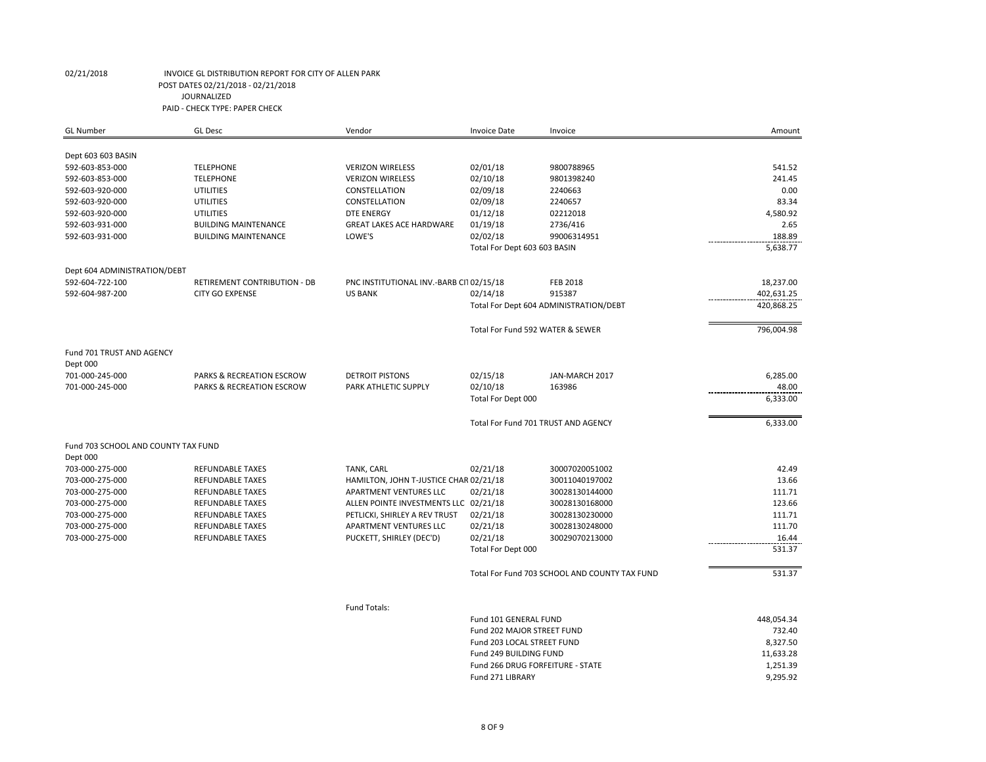| <b>GL Number</b>                    | <b>GL Desc</b>               | Vendor                                  | <b>Invoice Date</b>                 | Invoice                                       | Amount     |
|-------------------------------------|------------------------------|-----------------------------------------|-------------------------------------|-----------------------------------------------|------------|
|                                     |                              |                                         |                                     |                                               |            |
| Dept 603 603 BASIN                  |                              |                                         |                                     |                                               |            |
| 592-603-853-000                     | <b>TELEPHONE</b>             | <b>VERIZON WIRELESS</b>                 | 02/01/18                            | 9800788965                                    | 541.52     |
| 592-603-853-000                     | <b>TELEPHONE</b>             | <b>VERIZON WIRELESS</b>                 | 02/10/18                            | 9801398240                                    | 241.45     |
| 592-603-920-000                     | UTILITIES                    | CONSTELLATION                           | 02/09/18                            | 2240663                                       | 0.00       |
| 592-603-920-000                     | <b>UTILITIES</b>             | CONSTELLATION                           | 02/09/18                            | 2240657                                       | 83.34      |
| 592-603-920-000                     | UTILITIES                    | <b>DTE ENERGY</b>                       | 01/12/18                            | 02212018                                      | 4,580.92   |
| 592-603-931-000                     | <b>BUILDING MAINTENANCE</b>  | <b>GREAT LAKES ACE HARDWARE</b>         | 01/19/18                            | 2736/416                                      | 2.65       |
| 592-603-931-000                     | <b>BUILDING MAINTENANCE</b>  | LOWE'S                                  | 02/02/18                            | 99006314951                                   | 188.89     |
|                                     |                              |                                         | Total For Dept 603 603 BASIN        |                                               | 5,638.77   |
|                                     |                              |                                         |                                     |                                               |            |
| Dept 604 ADMINISTRATION/DEBT        |                              |                                         |                                     |                                               |            |
| 592-604-722-100                     | RETIREMENT CONTRIBUTION - DB | PNC INSTITUTIONAL INV.-BARB CI102/15/18 |                                     | <b>FEB 2018</b>                               | 18,237.00  |
| 592-604-987-200                     | <b>CITY GO EXPENSE</b>       | <b>US BANK</b>                          | 02/14/18                            | 915387                                        | 402,631.25 |
|                                     |                              |                                         |                                     | Total For Dept 604 ADMINISTRATION/DEBT        | 420,868.25 |
|                                     |                              |                                         | Total For Fund 592 WATER & SEWER    |                                               | 796,004.98 |
| Fund 701 TRUST AND AGENCY           |                              |                                         |                                     |                                               |            |
| Dept 000                            |                              |                                         |                                     |                                               |            |
| 701-000-245-000                     | PARKS & RECREATION ESCROW    | <b>DETROIT PISTONS</b>                  | 02/15/18                            | JAN-MARCH 2017                                | 6,285.00   |
| 701-000-245-000                     | PARKS & RECREATION ESCROW    | PARK ATHLETIC SUPPLY                    | 02/10/18                            | 163986                                        | 48.00      |
|                                     |                              |                                         | Total For Dept 000                  |                                               | 6,333.00   |
|                                     |                              |                                         |                                     |                                               |            |
|                                     |                              |                                         | Total For Fund 701 TRUST AND AGENCY |                                               | 6,333.00   |
| Fund 703 SCHOOL AND COUNTY TAX FUND |                              |                                         |                                     |                                               |            |
| Dept 000                            |                              |                                         |                                     |                                               |            |
| 703-000-275-000                     | <b>REFUNDABLE TAXES</b>      | TANK, CARL                              | 02/21/18                            | 30007020051002                                | 42.49      |
| 703-000-275-000                     | <b>REFUNDABLE TAXES</b>      | HAMILTON, JOHN T-JUSTICE CHAR 02/21/18  |                                     | 30011040197002                                | 13.66      |
| 703-000-275-000                     | <b>REFUNDABLE TAXES</b>      | APARTMENT VENTURES LLC                  | 02/21/18                            | 30028130144000                                | 111.71     |
| 703-000-275-000                     | <b>REFUNDABLE TAXES</b>      | ALLEN POINTE INVESTMENTS LLC 02/21/18   |                                     | 30028130168000                                | 123.66     |
| 703-000-275-000                     | <b>REFUNDABLE TAXES</b>      | PETLICKI, SHIRLEY A REV TRUST           | 02/21/18                            | 30028130230000                                | 111.71     |
| 703-000-275-000                     | <b>REFUNDABLE TAXES</b>      | APARTMENT VENTURES LLC                  | 02/21/18                            | 30028130248000                                | 111.70     |
| 703-000-275-000                     | <b>REFUNDABLE TAXES</b>      | PUCKETT, SHIRLEY (DEC'D)                | 02/21/18                            | 30029070213000                                | 16.44      |
|                                     |                              |                                         | Total For Dept 000                  |                                               | 531.37     |
|                                     |                              |                                         |                                     |                                               |            |
|                                     |                              |                                         |                                     | Total For Fund 703 SCHOOL AND COUNTY TAX FUND | 531.37     |
|                                     |                              |                                         |                                     |                                               |            |
|                                     |                              | Fund Totals:                            |                                     |                                               |            |
|                                     |                              |                                         | Fund 101 GENERAL FUND               |                                               | 448,054.34 |
|                                     |                              |                                         | Fund 202 MAJOR STREET FUND          |                                               | 732.40     |
|                                     |                              |                                         | Fund 203 LOCAL STREET FUND          |                                               | 8,327.50   |
|                                     |                              |                                         | Fund 249 BUILDING FUND              |                                               | 11,633.28  |
|                                     |                              |                                         | Fund 266 DRUG FORFEITURE - STATE    |                                               | 1,251.39   |

Fund 271 LIBRARY 9,295.92